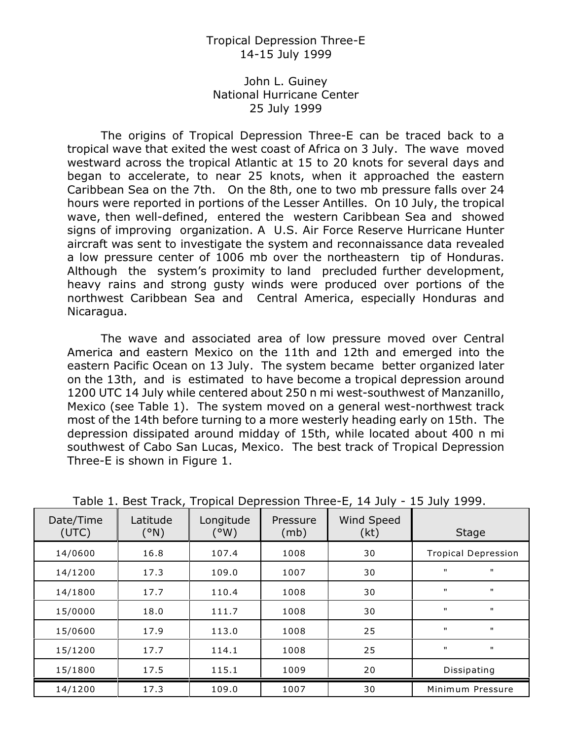## Tropical Depression Three-E 14-15 July 1999

## John L. Guiney National Hurricane Center 25 July 1999

The origins of Tropical Depression Three-E can be traced back to a tropical wave that exited the west coast of Africa on 3 July. The wave moved westward across the tropical Atlantic at 15 to 20 knots for several days and began to accelerate, to near 25 knots, when it approached the eastern Caribbean Sea on the 7th. On the 8th, one to two mb pressure falls over 24 hours were reported in portions of the Lesser Antilles. On 10 July, the tropical wave, then well-defined, entered the western Caribbean Sea and showed signs of improving organization. A U.S. Air Force Reserve Hurricane Hunter aircraft was sent to investigate the system and reconnaissance data revealed a low pressure center of 1006 mb over the northeastern tip of Honduras. Although the system's proximity to land precluded further development, heavy rains and strong gusty winds were produced over portions of the northwest Caribbean Sea and Central America, especially Honduras and Nicaragua.

The wave and associated area of low pressure moved over Central America and eastern Mexico on the 11th and 12th and emerged into the eastern Pacific Ocean on 13 July. The system became better organized later on the 13th, and is estimated to have become a tropical depression around 1200 UTC 14 July while centered about 250 n mi west-southwest of Manzanillo, Mexico (see Table 1). The system moved on a general west-northwest track most of the 14th before turning to a more westerly heading early on 15th. The depression dissipated around midday of 15th, while located about 400 n mi southwest of Cabo San Lucas, Mexico. The best track of Tropical Depression Three-E is shown in Figure 1.

| Date/Time<br>(UTC) | Latitude<br>(°N) | Longitude<br>(°W) | Pressure<br>(mb) | $\mathbf{r}$<br>Wind Speed<br>(kt) | <b>Stage</b>                 |
|--------------------|------------------|-------------------|------------------|------------------------------------|------------------------------|
| 14/0600            | 16.8             | 107.4             | 1008             | 30                                 | <b>Tropical Depression</b>   |
| 14/1200            | 17.3             | 109.0             | 1007             | 30                                 | $\mathbf{H}$<br>$\mathbf{H}$ |
| 14/1800            | 17.7             | 110.4             | 1008             | 30                                 | $\mathbf{H}$<br>$\mathbf{H}$ |
| 15/0000            | 18.0             | 111.7             | 1008             | 30                                 | $\mathbf{H}$<br>$\mathbf{H}$ |
| 15/0600            | 17.9             | 113.0             | 1008             | 25                                 | $\mathbf{H}$<br>$\mathbf{H}$ |
| 15/1200            | 17.7             | 114.1             | 1008             | 25                                 | $\mathbf{H}$<br>$\mathbf{H}$ |
| 15/1800            | 17.5             | 115.1             | 1009             | 20                                 | Dissipating                  |
| 14/1200            | 17.3             | 109.0             | 1007             | 30                                 | Minimum Pressure             |

Table 1. Best Track, Tropical Depression Three-E, 14 July - 15 July 1999.